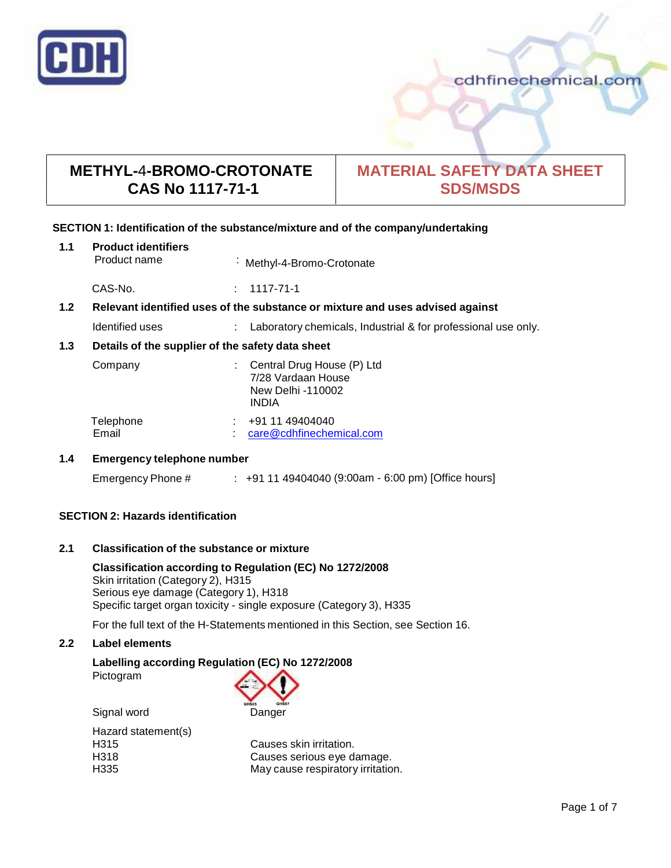

# **METHYL-**4**-BROMO-CROTONATE CAS No 1117-71-1**

# **MATERIAL SAFETY DATA SHEET SDS/MSDS**

# **SECTION 1: Identification of the substance/mixture and of the company/undertaking**

| 1.1                                                     | <b>Product identifiers</b><br>Product name                                    |  | : Methyl-4-Bromo-Crotonate                                                            |
|---------------------------------------------------------|-------------------------------------------------------------------------------|--|---------------------------------------------------------------------------------------|
|                                                         | CAS-No.                                                                       |  | 1117-71-1                                                                             |
| 1.2                                                     | Relevant identified uses of the substance or mixture and uses advised against |  |                                                                                       |
|                                                         | Identified uses                                                               |  | Laboratory chemicals, Industrial & for professional use only.                         |
| 1.3<br>Details of the supplier of the safety data sheet |                                                                               |  |                                                                                       |
|                                                         | Company                                                                       |  | Central Drug House (P) Ltd<br>7/28 Vardaan House<br>New Delhi -110002<br><b>INDIA</b> |
|                                                         | Telephone<br>Email                                                            |  | +91 11 49404040<br>care@cdhfinechemical.com                                           |

## **1.4 Emergency telephone number**

| Emergency Phone # |  | +91 11 49404040 (9:00am - 6:00 pm) [Office hours] |  |
|-------------------|--|---------------------------------------------------|--|
|-------------------|--|---------------------------------------------------|--|

# **SECTION 2: Hazards identification**

# **2.1 Classification of the substance ormixture**

**Classification according to Regulation (EC) No 1272/2008** Skin irritation (Category 2), H315 Serious eye damage (Category 1), H318 Specific target organ toxicity - single exposure (Category 3), H335

For the full text of the H-Statements mentioned in this Section, see Section 16.

#### **2.2 Label elements**

# **Labelling according Regulation (EC) No 1272/2008**

| Pictogram |
|-----------|
|-----------|



Signal word Danger Hazard statement(s)

H315 Causes skin irritation. H318 **Causes serious eye damage.**<br>H335 **Cause respiratory irritational structure** May cause respiratory irritation May cause respiratory irritation.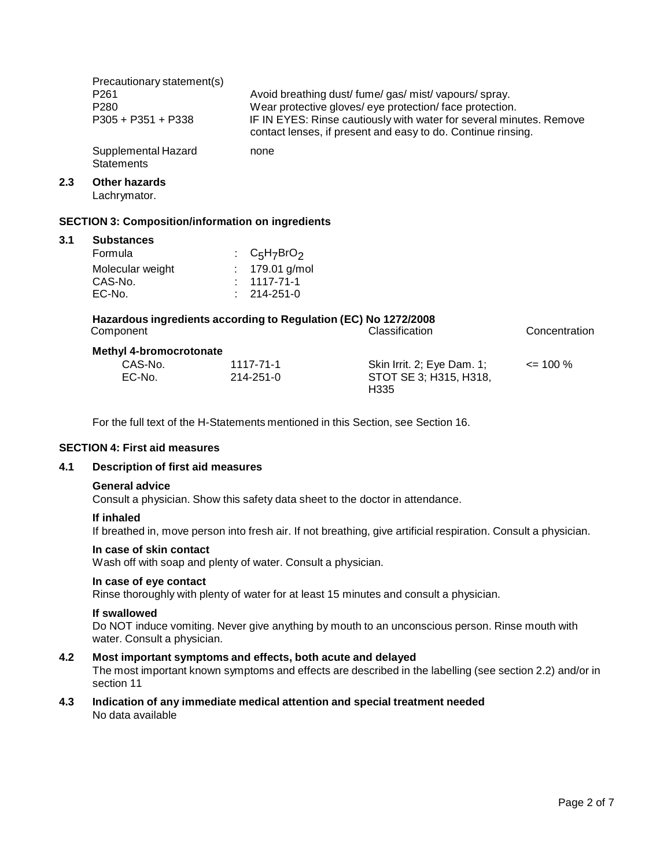|     | Precautionary statement(s)<br>P <sub>261</sub><br>P <sub>280</sub><br>$P305 + P351 + P338$ |                                                                                                      | Avoid breathing dust/fume/gas/mist/vapours/spray.<br>Wear protective gloves/ eye protection/ face protection.<br>IF IN EYES: Rinse cautiously with water for several minutes. Remove<br>contact lenses, if present and easy to do. Continue rinsing. |               |
|-----|--------------------------------------------------------------------------------------------|------------------------------------------------------------------------------------------------------|------------------------------------------------------------------------------------------------------------------------------------------------------------------------------------------------------------------------------------------------------|---------------|
|     | Supplemental Hazard<br><b>Statements</b>                                                   | none                                                                                                 |                                                                                                                                                                                                                                                      |               |
| 2.3 | <b>Other hazards</b><br>Lachrymator.                                                       |                                                                                                      |                                                                                                                                                                                                                                                      |               |
|     | <b>SECTION 3: Composition/information on ingredients</b>                                   |                                                                                                      |                                                                                                                                                                                                                                                      |               |
| 3.1 | <b>Substances</b><br>Formula<br>Molecular weight<br>CAS-No.<br>EC-No.                      | C <sub>5</sub> H <sub>7</sub> BrO <sub>2</sub><br>179.01 g/mol<br>$: 1117 - 71 - 1$<br>$: 214-251-0$ |                                                                                                                                                                                                                                                      |               |
|     | Hazardous ingredients according to Regulation (EC) No 1272/2008<br>Component               |                                                                                                      | Classification                                                                                                                                                                                                                                       | Concentration |
|     | <b>Methyl 4-bromocrotonate</b><br>CAS-No.<br>EC-No.                                        | 1117-71-1<br>214-251-0                                                                               | Skin Irrit. 2; Eye Dam. 1;<br>STOT SE 3; H315, H318,<br>H335                                                                                                                                                                                         | $\leq$ 100 %  |

For the full text of the H-Statements mentioned in this Section, see Section 16.

# **SECTION 4: First aid measures**

## **4.1 Description of first aid measures**

#### **General advice**

Consult a physician. Show this safety data sheet to the doctor in attendance.

#### **If inhaled**

If breathed in, move person into fresh air. If not breathing, give artificial respiration. Consult a physician.

#### **In case of skin contact**

Wash off with soap and plenty of water. Consult a physician.

## **In case of eye contact**

Rinse thoroughly with plenty of water for at least 15 minutes and consult a physician.

# **If swallowed**

Do NOT induce vomiting. Never give anything by mouth to an unconscious person. Rinse mouth with water. Consult a physician.

# **4.2 Most important symptoms and effects, both acute and delayed**

The most important known symptoms and effects are described in the labelling (see section 2.2) and/or in section 11

#### **4.3 Indication of any immediate medical attention and special treatment needed** No data available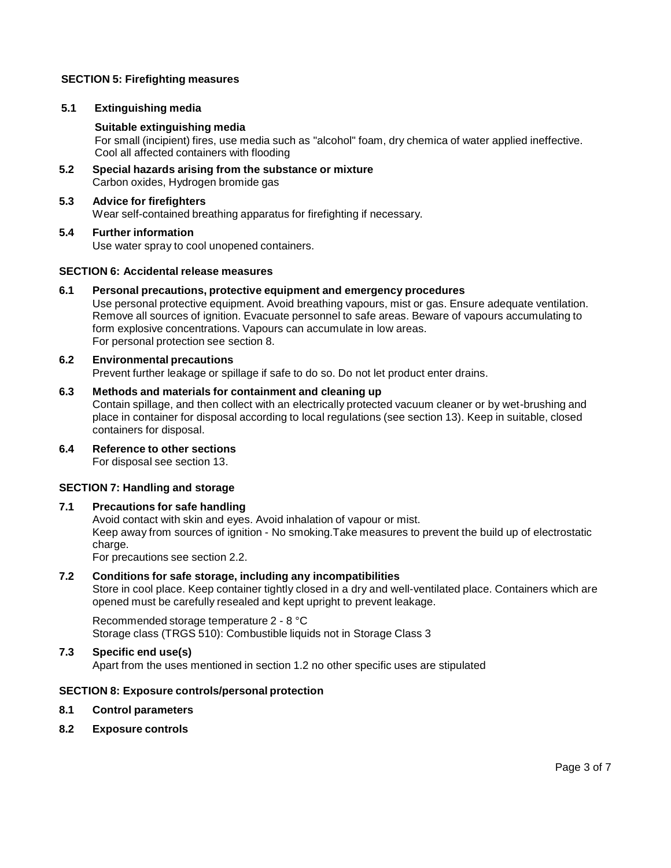# **SECTION 5: Firefighting measures**

# **5.1 Extinguishing media**

# **Suitable extinguishing media**

For small (incipient) fires, use media such as "alcohol" foam, dry chemica of water applied ineffective. Cool all affected containers with flooding

**5.2 Special hazards arising from the substance ormixture** Carbon oxides, Hydrogen bromide gas

#### **5.3 Advice for firefighters** Wear self-contained breathing apparatus for firefighting if necessary.

**5.4 Further information** Use water spray to cool unopened containers.

# **SECTION 6: Accidental release measures**

## **6.1 Personal precautions, protective equipment and emergency procedures**

Use personal protective equipment. Avoid breathing vapours, mist or gas. Ensure adequate ventilation. Remove all sources of ignition. Evacuate personnel to safe areas. Beware of vapours accumulating to form explosive concentrations. Vapours can accumulate in low areas. For personal protection see section 8.

## **6.2 Environmental precautions**

Prevent further leakage or spillage if safe to do so. Do not let product enter drains.

## **6.3 Methods and materials for containment and cleaning up**

Contain spillage, and then collect with an electrically protected vacuum cleaner or by wet-brushing and place in container for disposal according to local regulations (see section 13). Keep in suitable, closed containers for disposal.

**6.4 Reference to other sections** For disposal see section 13.

# **SECTION 7: Handling and storage**

# **7.1 Precautions for safe handling**

Avoid contact with skin and eyes. Avoid inhalation of vapour or mist. Keep away from sources of ignition - No smoking.Take measures to prevent the build up of electrostatic charge. For precautions see section 2.2.

# **7.2 Conditions for safe storage, including any incompatibilities**

Store in cool place. Keep container tightly closed in a dry and well-ventilated place. Containers which are opened must be carefully resealed and kept upright to prevent leakage.

Recommended storage temperature 2 - 8 °C Storage class (TRGS 510): Combustible liquids not in Storage Class 3

# **7.3 Specific end use(s)**

Apart from the uses mentioned in section 1.2 no other specific uses are stipulated

# **SECTION 8: Exposure controls/personal protection**

#### **8.1 Control parameters**

**8.2 Exposure controls**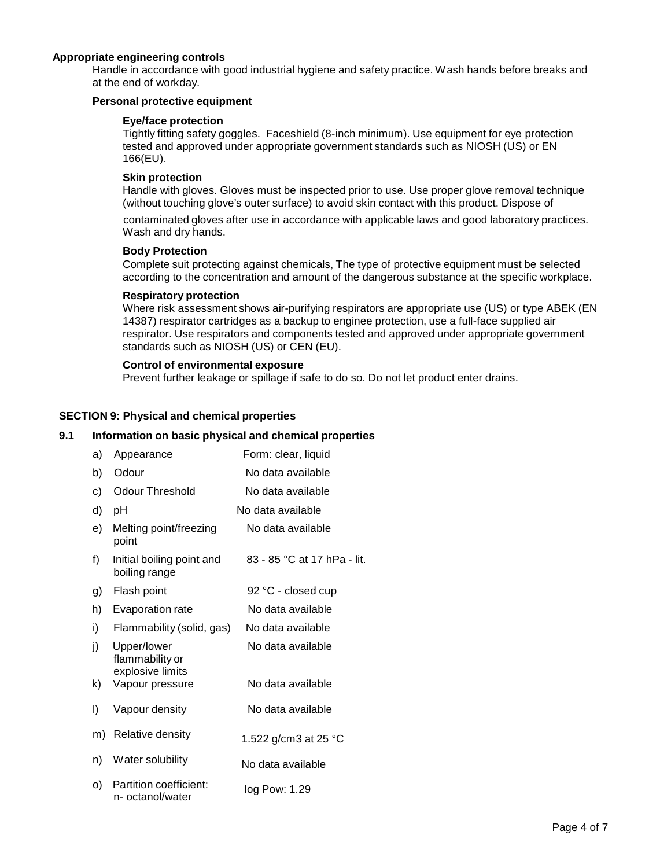# **Appropriate engineering controls**

Handle in accordance with good industrial hygiene and safety practice. Wash hands before breaks and at the end of workday.

## **Personal protective equipment**

## **Eye/face protection**

Tightly fitting safety goggles. Faceshield (8-inch minimum). Use equipment for eye protection tested and approved under appropriate government standards such as NIOSH (US) or EN 166(EU).

## **Skin protection**

Handle with gloves. Gloves must be inspected prior to use. Use proper glove removal technique (without touching glove's outer surface) to avoid skin contact with this product. Dispose of

contaminated gloves after use in accordance with applicable laws and good laboratory practices. Wash and dry hands.

## **Body Protection**

Complete suit protecting against chemicals, The type of protective equipment must be selected according to the concentration and amount of the dangerous substance at the specific workplace.

## **Respiratory protection**

Where risk assessment shows air-purifying respirators are appropriate use (US) or type ABEK (EN 14387) respirator cartridges as a backup to enginee protection, use a full-face supplied air respirator. Use respirators and components tested and approved under appropriate government standards such as NIOSH (US) or CEN (EU).

# **Control of environmental exposure**

Prevent further leakage or spillage if safe to do so. Do not let product enter drains.

# **SECTION 9: Physical and chemical properties**

## **9.1 Information on basic physical and chemical properties**

| a) | Appearance                                         | Form: clear, liquid         |
|----|----------------------------------------------------|-----------------------------|
| b) | Odour                                              | No data available           |
| c) | <b>Odour Threshold</b>                             | No data available           |
| d) | рH                                                 | No data available           |
| e) | Melting point/freezing<br>point                    | No data available           |
| f) | Initial boiling point and<br>boiling range         | 83 - 85 °C at 17 hPa - lit. |
| g) | Flash point                                        | 92 °C - closed cup          |
| h) | Evaporation rate                                   | No data available           |
| i) | Flammability (solid, gas)                          | No data available           |
| j) | Upper/lower<br>flammability or<br>explosive limits | No data available           |
| k) | Vapour pressure                                    | No data available           |
| I) | Vapour density                                     | No data available           |
| m) | Relative density                                   | 1.522 g/cm3 at 25 °C        |
| n) | Water solubility                                   | No data available           |
| O) | Partition coefficient:<br>n- octanol/water         | log Pow: 1.29               |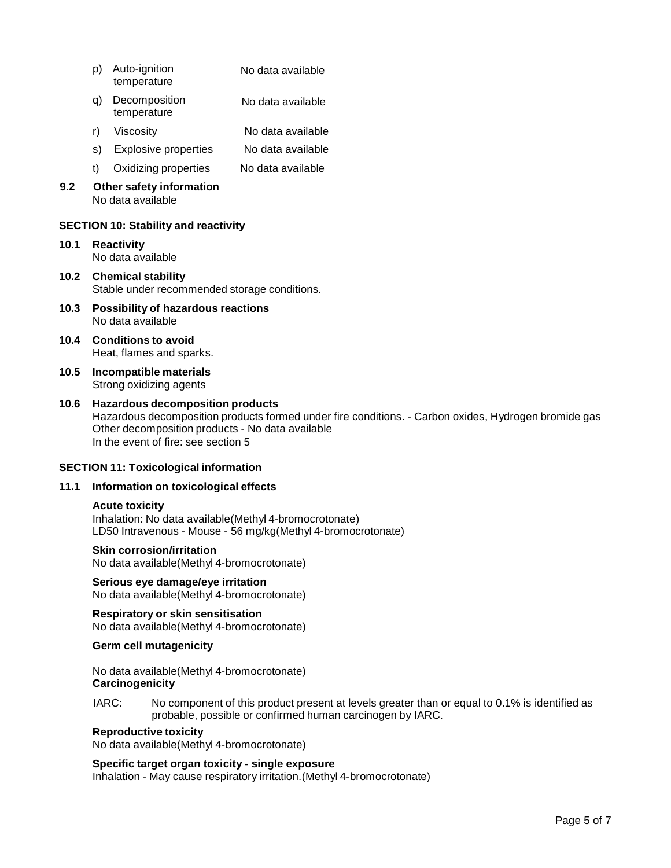- p) Auto-ignition temperature No data available
- q) Decomposition temperature No data available
- r) Viscosity No data available
- s) Explosive properties No data available
- t) Oxidizing properties No data available
- **9.2 Other safety information** No data available

# **SECTION 10: Stability and reactivity**

- **10.1 Reactivity** No data available
- **10.2 Chemical stability** Stable under recommended storage conditions.
- **10.3 Possibility of hazardous reactions** No data available
- **10.4 Conditions to avoid** Heat, flames and sparks.
- **10.5 Incompatible materials** Strong oxidizing agents
- **10.6 Hazardous decomposition products** Hazardous decomposition products formed under fire conditions. - Carbon oxides, Hydrogen bromide gas Other decomposition products - No data available In the event of fire: see section 5

# **SECTION 11: Toxicological information**

# **11.1 Information on toxicological effects**

#### **Acute toxicity**

Inhalation: No data available(Methyl 4-bromocrotonate) LD50 Intravenous - Mouse - 56 mg/kg(Methyl 4-bromocrotonate)

# **Skin corrosion/irritation**

No data available(Methyl 4-bromocrotonate)

# **Serious eye damage/eye irritation**

No data available(Methyl 4-bromocrotonate)

## **Respiratory orskin sensitisation** No data available(Methyl 4-bromocrotonate)

# **Germ cell mutagenicity**

No data available(Methyl 4-bromocrotonate) **Carcinogenicity**

IARC: No component of this product present at levels greater than or equal to 0.1% is identified as probable, possible or confirmed human carcinogen by IARC.

# **Reproductive toxicity**

No data available(Methyl 4-bromocrotonate)

# **Specific target organ toxicity - single exposure**

Inhalation - May cause respiratory irritation.(Methyl 4-bromocrotonate)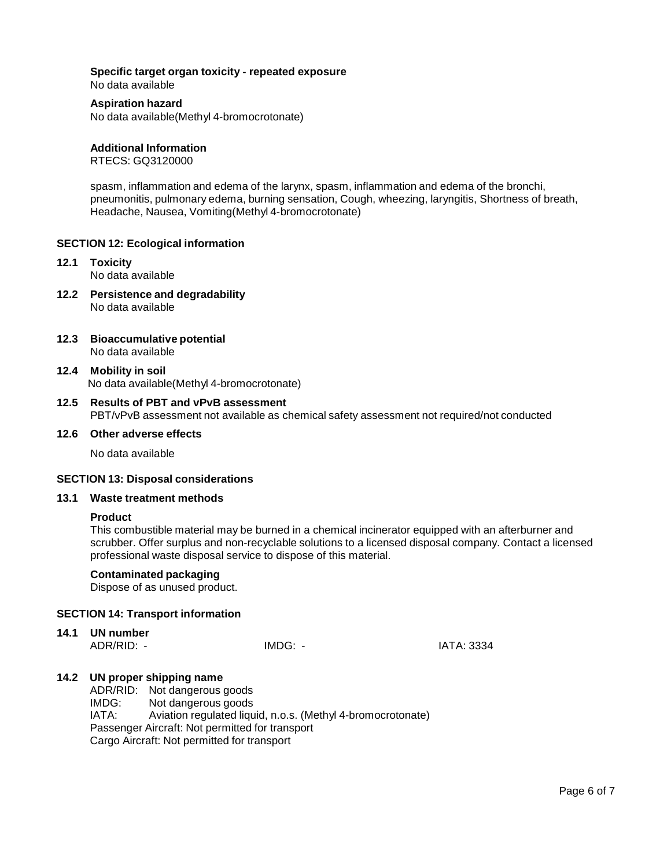## **Specific target organ toxicity - repeated exposure** No data available

## **Aspiration hazard**

No data available(Methyl 4-bromocrotonate)

## **Additional Information**

RTECS: GQ3120000

spasm, inflammation and edema of the larynx, spasm, inflammation and edema of the bronchi, pneumonitis, pulmonary edema, burning sensation, Cough, wheezing, laryngitis, Shortness of breath, Headache, Nausea, Vomiting(Methyl 4-bromocrotonate)

# **SECTION 12: Ecological information**

- **12.1 Toxicity** No data available
- **12.2 Persistence and degradability** No data available
- **12.3 Bioaccumulative potential** No data available
- **12.4 Mobility in soil** No data available(Methyl 4-bromocrotonate)

## **12.5 Results of PBT and vPvB assessment** PBT/vPvB assessment not available as chemical safety assessment not required/not conducted

## **12.6 Other adverse effects**

No data available

#### **SECTION 13: Disposal considerations**

#### **13.1 Waste treatment methods**

#### **Product**

This combustible material may be burned in a chemical incinerator equipped with an afterburner and scrubber. Offer surplus and non-recyclable solutions to a licensed disposal company. Contact a licensed professional waste disposal service to dispose of this material.

## **Contaminated packaging**

Dispose of as unused product.

# **SECTION 14: Transport information**

**14.1 UN number**

ADR/RID: - IMDG: - IATA: 3334

# **14.2 UN proper shipping name**

ADR/RID: Not dangerous goods IMDG: Not dangerous goods IATA: Aviation regulated liquid, n.o.s. (Methyl 4-bromocrotonate) Passenger Aircraft: Not permitted for transport Cargo Aircraft: Not permitted for transport